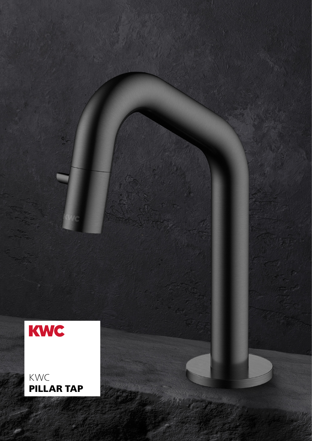